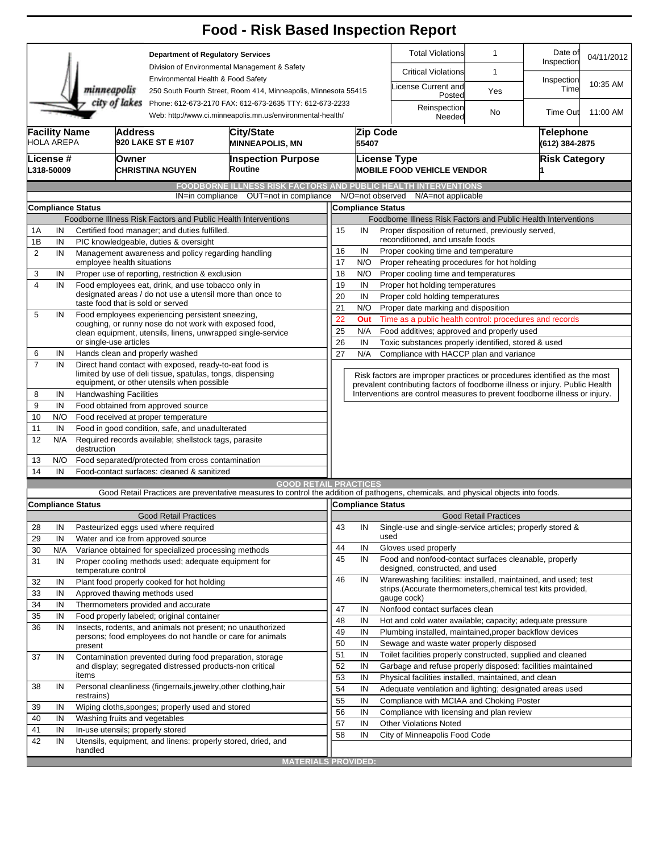|                     |                                                                                          |                                                                                                                                                         |                                                                                                                         |                                                                                                                                                                                                    | <b>Food - Risk Based Inspection Report</b>                                                                                        |                                                                |                                                                                                            |                                          |                                                                              |                              |                       |                      |  |
|---------------------|------------------------------------------------------------------------------------------|---------------------------------------------------------------------------------------------------------------------------------------------------------|-------------------------------------------------------------------------------------------------------------------------|----------------------------------------------------------------------------------------------------------------------------------------------------------------------------------------------------|-----------------------------------------------------------------------------------------------------------------------------------|----------------------------------------------------------------|------------------------------------------------------------------------------------------------------------|------------------------------------------|------------------------------------------------------------------------------|------------------------------|-----------------------|----------------------|--|
|                     |                                                                                          |                                                                                                                                                         |                                                                                                                         | <b>Department of Regulatory Services</b><br>Division of Environmental Management & Safety<br>Environmental Health & Food Safety<br>250 South Fourth Street, Room 414, Minneapolis, Minnesota 55415 |                                                                                                                                   |                                                                |                                                                                                            |                                          | <b>Total Violations</b>                                                      | $\mathbf{1}$                 | Date of<br>Inspection | 04/11/2012           |  |
|                     |                                                                                          |                                                                                                                                                         |                                                                                                                         |                                                                                                                                                                                                    |                                                                                                                                   |                                                                |                                                                                                            |                                          | <b>Critical Violations</b>                                                   | 1                            |                       |                      |  |
|                     |                                                                                          | minneapolis                                                                                                                                             |                                                                                                                         |                                                                                                                                                                                                    |                                                                                                                                   |                                                                |                                                                                                            |                                          | icense Current and<br>Posted                                                 | Yes                          | Inspection<br>Time    | 10:35 AM             |  |
|                     |                                                                                          |                                                                                                                                                         | city of lakes                                                                                                           |                                                                                                                                                                                                    | Phone: 612-673-2170 FAX: 612-673-2635 TTY: 612-673-2233<br>Web: http://www.ci.minneapolis.mn.us/environmental-health/             |                                                                |                                                                                                            | Reinspection<br>Needed                   | No                                                                           | Time Out                     | 11:00 AM              |                      |  |
|                     | <b>Facility Name</b><br><b>Address</b><br>City/State<br>HOLA AREPA<br>920 LAKE ST E #107 |                                                                                                                                                         |                                                                                                                         |                                                                                                                                                                                                    | <b>MINNEAPOLIS, MN</b>                                                                                                            |                                                                | Zip Code<br><b>Telephone</b><br>55407<br>(612) 384-2875                                                    |                                          |                                                                              |                              |                       |                      |  |
|                     | License #<br>L318-50009                                                                  |                                                                                                                                                         | <b>Owner</b><br><b>CHRISTINA NGUYEN</b>                                                                                 |                                                                                                                                                                                                    | <b>Inspection Purpose</b><br>Routine                                                                                              |                                                                |                                                                                                            |                                          | <b>License Type</b><br><b>MOBILE FOOD VEHICLE VENDOR</b>                     |                              |                       | <b>Risk Category</b> |  |
|                     |                                                                                          |                                                                                                                                                         |                                                                                                                         |                                                                                                                                                                                                    | <b>FOODBORNE ILLNESS RISK FACTORS AND PUBLIC HEALTH INTERVENTIONS</b>                                                             |                                                                |                                                                                                            |                                          |                                                                              |                              |                       |                      |  |
|                     |                                                                                          |                                                                                                                                                         |                                                                                                                         | IN=in compliance                                                                                                                                                                                   | OUT=not in compliance                                                                                                             |                                                                | N/O=not observed                                                                                           |                                          | N/A=not applicable                                                           |                              |                       |                      |  |
|                     |                                                                                          | <b>Compliance Status</b>                                                                                                                                |                                                                                                                         |                                                                                                                                                                                                    |                                                                                                                                   |                                                                | <b>Compliance Status</b>                                                                                   |                                          |                                                                              |                              |                       |                      |  |
|                     |                                                                                          |                                                                                                                                                         |                                                                                                                         |                                                                                                                                                                                                    | Foodborne Illness Risk Factors and Public Health Interventions                                                                    | Foodborne Illness Risk Factors and Public Health Interventions |                                                                                                            |                                          |                                                                              |                              |                       |                      |  |
| 1A                  | IN                                                                                       |                                                                                                                                                         | Certified food manager; and duties fulfilled.                                                                           |                                                                                                                                                                                                    |                                                                                                                                   | Proper disposition of returned, previously served,<br>15<br>IN |                                                                                                            |                                          |                                                                              |                              |                       |                      |  |
| 1B                  | IN                                                                                       |                                                                                                                                                         | PIC knowledgeable, duties & oversight                                                                                   |                                                                                                                                                                                                    |                                                                                                                                   | reconditioned, and unsafe foods                                |                                                                                                            |                                          |                                                                              |                              |                       |                      |  |
| $\overline{2}$      | IN                                                                                       |                                                                                                                                                         | Management awareness and policy regarding handling                                                                      |                                                                                                                                                                                                    |                                                                                                                                   | 16<br>IN<br>Proper cooking time and temperature                |                                                                                                            |                                          |                                                                              |                              |                       |                      |  |
|                     |                                                                                          |                                                                                                                                                         | employee health situations                                                                                              |                                                                                                                                                                                                    |                                                                                                                                   | 17<br>N/O<br>Proper reheating procedures for hot holding       |                                                                                                            |                                          |                                                                              |                              |                       |                      |  |
| 3                   | IN                                                                                       |                                                                                                                                                         | Proper use of reporting, restriction & exclusion                                                                        |                                                                                                                                                                                                    |                                                                                                                                   | 18                                                             | N/O                                                                                                        |                                          | Proper cooling time and temperatures                                         |                              |                       |                      |  |
| 4                   | IN                                                                                       |                                                                                                                                                         | Food employees eat, drink, and use tobacco only in<br>designated areas / do not use a utensil more than once to         |                                                                                                                                                                                                    |                                                                                                                                   |                                                                | 19<br>IN<br>Proper hot holding temperatures                                                                |                                          |                                                                              |                              |                       |                      |  |
|                     |                                                                                          |                                                                                                                                                         | taste food that is sold or served                                                                                       |                                                                                                                                                                                                    |                                                                                                                                   |                                                                | 20<br>IN<br>Proper cold holding temperatures                                                               |                                          |                                                                              |                              |                       |                      |  |
| 5                   | IN                                                                                       |                                                                                                                                                         | Food employees experiencing persistent sneezing,                                                                        |                                                                                                                                                                                                    |                                                                                                                                   | 21                                                             | N/O                                                                                                        |                                          | Proper date marking and disposition                                          |                              |                       |                      |  |
|                     |                                                                                          | coughing, or runny nose do not work with exposed food,                                                                                                  |                                                                                                                         |                                                                                                                                                                                                    |                                                                                                                                   |                                                                | 22<br>Out<br>Time as a public health control: procedures and records                                       |                                          |                                                                              |                              |                       |                      |  |
|                     |                                                                                          |                                                                                                                                                         | clean equipment, utensils, linens, unwrapped single-service<br>or single-use articles                                   |                                                                                                                                                                                                    |                                                                                                                                   |                                                                | 25<br>N/A<br>Food additives; approved and properly used                                                    |                                          |                                                                              |                              |                       |                      |  |
|                     |                                                                                          |                                                                                                                                                         |                                                                                                                         |                                                                                                                                                                                                    |                                                                                                                                   | 27                                                             | 26<br>IN<br>Toxic substances properly identified, stored & used<br>Compliance with HACCP plan and variance |                                          |                                                                              |                              |                       |                      |  |
| 6<br>$\overline{7}$ | IN<br>IN                                                                                 | Hands clean and properly washed<br>Direct hand contact with exposed, ready-to-eat food is<br>limited by use of deli tissue, spatulas, tongs, dispensing |                                                                                                                         |                                                                                                                                                                                                    |                                                                                                                                   |                                                                | N/A                                                                                                        |                                          |                                                                              |                              |                       |                      |  |
|                     |                                                                                          |                                                                                                                                                         |                                                                                                                         |                                                                                                                                                                                                    |                                                                                                                                   |                                                                |                                                                                                            |                                          | Risk factors are improper practices or procedures identified as the most     |                              |                       |                      |  |
|                     |                                                                                          |                                                                                                                                                         | equipment, or other utensils when possible                                                                              |                                                                                                                                                                                                    |                                                                                                                                   |                                                                |                                                                                                            |                                          | prevalent contributing factors of foodborne illness or injury. Public Health |                              |                       |                      |  |
| 8                   | IN                                                                                       |                                                                                                                                                         | <b>Handwashing Facilities</b>                                                                                           |                                                                                                                                                                                                    |                                                                                                                                   |                                                                |                                                                                                            |                                          | Interventions are control measures to prevent foodborne illness or injury.   |                              |                       |                      |  |
| 9                   | IN                                                                                       | Food obtained from approved source                                                                                                                      |                                                                                                                         |                                                                                                                                                                                                    |                                                                                                                                   |                                                                |                                                                                                            |                                          |                                                                              |                              |                       |                      |  |
| 10                  | N/O                                                                                      | Food received at proper temperature                                                                                                                     |                                                                                                                         |                                                                                                                                                                                                    |                                                                                                                                   |                                                                |                                                                                                            |                                          |                                                                              |                              |                       |                      |  |
| 11                  | IN                                                                                       | Food in good condition, safe, and unadulterated                                                                                                         |                                                                                                                         |                                                                                                                                                                                                    |                                                                                                                                   |                                                                |                                                                                                            |                                          |                                                                              |                              |                       |                      |  |
| 12                  | N/A                                                                                      | Required records available; shellstock tags, parasite<br>destruction                                                                                    |                                                                                                                         |                                                                                                                                                                                                    |                                                                                                                                   |                                                                |                                                                                                            |                                          |                                                                              |                              |                       |                      |  |
| 13                  | N/O                                                                                      | Food separated/protected from cross contamination                                                                                                       |                                                                                                                         |                                                                                                                                                                                                    |                                                                                                                                   |                                                                |                                                                                                            |                                          |                                                                              |                              |                       |                      |  |
| 14                  | IN                                                                                       | Food-contact surfaces: cleaned & sanitized                                                                                                              |                                                                                                                         |                                                                                                                                                                                                    |                                                                                                                                   |                                                                |                                                                                                            |                                          |                                                                              |                              |                       |                      |  |
|                     |                                                                                          |                                                                                                                                                         |                                                                                                                         |                                                                                                                                                                                                    | <b>GOOD RETAIL PRACTICES</b>                                                                                                      |                                                                |                                                                                                            |                                          |                                                                              |                              |                       |                      |  |
|                     |                                                                                          |                                                                                                                                                         |                                                                                                                         |                                                                                                                                                                                                    | Good Retail Practices are preventative measures to control the addition of pathogens, chemicals, and physical objects into foods. |                                                                |                                                                                                            |                                          |                                                                              |                              |                       |                      |  |
|                     |                                                                                          | <b>Compliance Status</b>                                                                                                                                |                                                                                                                         |                                                                                                                                                                                                    |                                                                                                                                   | Compliance Status                                              |                                                                                                            |                                          |                                                                              |                              |                       |                      |  |
|                     |                                                                                          |                                                                                                                                                         | <b>Good Retail Practices</b>                                                                                            |                                                                                                                                                                                                    |                                                                                                                                   |                                                                |                                                                                                            |                                          |                                                                              | <b>Good Retail Practices</b> |                       |                      |  |
| 28                  | IN                                                                                       |                                                                                                                                                         | Pasteurized eggs used where required                                                                                    |                                                                                                                                                                                                    |                                                                                                                                   | 43                                                             | IN                                                                                                         | used                                     | Single-use and single-service articles; properly stored &                    |                              |                       |                      |  |
| 29                  | IN                                                                                       |                                                                                                                                                         | Water and ice from approved source                                                                                      |                                                                                                                                                                                                    |                                                                                                                                   | 44                                                             | IN                                                                                                         |                                          | Gloves used properly                                                         |                              |                       |                      |  |
| 30                  | N/A                                                                                      |                                                                                                                                                         | Variance obtained for specialized processing methods                                                                    |                                                                                                                                                                                                    |                                                                                                                                   | 45                                                             | IN                                                                                                         |                                          | Food and nonfood-contact surfaces cleanable, properly                        |                              |                       |                      |  |
| 31                  | IN                                                                                       | temperature control                                                                                                                                     | Proper cooling methods used; adequate equipment for                                                                     |                                                                                                                                                                                                    |                                                                                                                                   |                                                                |                                                                                                            |                                          | designed, constructed, and used                                              |                              |                       |                      |  |
| 32                  | IN                                                                                       |                                                                                                                                                         | Plant food properly cooked for hot holding                                                                              |                                                                                                                                                                                                    |                                                                                                                                   | 46                                                             | IN                                                                                                         |                                          | Warewashing facilities: installed, maintained, and used; test                |                              |                       |                      |  |
| 33                  | IN                                                                                       |                                                                                                                                                         | Approved thawing methods used                                                                                           |                                                                                                                                                                                                    |                                                                                                                                   |                                                                |                                                                                                            |                                          | strips. (Accurate thermometers, chemical test kits provided,                 |                              |                       |                      |  |
| 34                  | IN                                                                                       |                                                                                                                                                         | Thermometers provided and accurate                                                                                      |                                                                                                                                                                                                    |                                                                                                                                   |                                                                |                                                                                                            |                                          | gauge cock)                                                                  |                              |                       |                      |  |
| 35                  | IN                                                                                       |                                                                                                                                                         | Food properly labeled; original container                                                                               |                                                                                                                                                                                                    |                                                                                                                                   | 47                                                             | IN                                                                                                         |                                          | Nonfood contact surfaces clean                                               |                              |                       |                      |  |
| 36                  | IN                                                                                       |                                                                                                                                                         |                                                                                                                         |                                                                                                                                                                                                    |                                                                                                                                   | 48<br>49                                                       | IN<br>IN                                                                                                   |                                          | Hot and cold water available; capacity; adequate pressure                    |                              |                       |                      |  |
|                     |                                                                                          |                                                                                                                                                         | Insects, rodents, and animals not present; no unauthorized<br>persons; food employees do not handle or care for animals |                                                                                                                                                                                                    |                                                                                                                                   |                                                                |                                                                                                            |                                          | Plumbing installed, maintained, proper backflow devices                      |                              |                       |                      |  |
|                     |                                                                                          | present                                                                                                                                                 |                                                                                                                         |                                                                                                                                                                                                    |                                                                                                                                   |                                                                | IN                                                                                                         |                                          | Sewage and waste water properly disposed                                     |                              |                       |                      |  |
| 37                  | IN                                                                                       |                                                                                                                                                         | Contamination prevented during food preparation, storage                                                                |                                                                                                                                                                                                    |                                                                                                                                   | 51<br>52                                                       | IN<br>IN                                                                                                   |                                          | Toilet facilities properly constructed, supplied and cleaned                 |                              |                       |                      |  |
|                     |                                                                                          | items                                                                                                                                                   | and display; segregated distressed products-non critical                                                                |                                                                                                                                                                                                    |                                                                                                                                   |                                                                |                                                                                                            |                                          | Garbage and refuse properly disposed: facilities maintained                  |                              |                       |                      |  |
| 38                  | IN                                                                                       | Personal cleanliness (fingernails, jewelry, other clothing, hair                                                                                        |                                                                                                                         |                                                                                                                                                                                                    |                                                                                                                                   | 53                                                             | IN                                                                                                         |                                          | Physical facilities installed, maintained, and clean                         |                              |                       |                      |  |
|                     |                                                                                          | restrains)                                                                                                                                              |                                                                                                                         |                                                                                                                                                                                                    |                                                                                                                                   |                                                                | 54<br>IN<br>Adequate ventilation and lighting; designated areas used                                       |                                          |                                                                              |                              |                       |                      |  |
| 39                  | IN                                                                                       | Wiping cloths, sponges; properly used and stored                                                                                                        |                                                                                                                         |                                                                                                                                                                                                    | 55                                                                                                                                | IN                                                             |                                                                                                            | Compliance with MCIAA and Choking Poster |                                                                              |                              |                       |                      |  |
| 40                  | IN                                                                                       |                                                                                                                                                         | Washing fruits and vegetables                                                                                           |                                                                                                                                                                                                    |                                                                                                                                   | 56                                                             | IN                                                                                                         |                                          | Compliance with licensing and plan review                                    |                              |                       |                      |  |
| 41                  | IN                                                                                       |                                                                                                                                                         | In-use utensils; properly stored                                                                                        |                                                                                                                                                                                                    |                                                                                                                                   | 57                                                             | IN                                                                                                         |                                          | <b>Other Violations Noted</b>                                                |                              |                       |                      |  |
| 42                  | IN                                                                                       |                                                                                                                                                         |                                                                                                                         |                                                                                                                                                                                                    | Utensils, equipment, and linens: properly stored, dried, and                                                                      | 58                                                             | IN                                                                                                         |                                          | City of Minneapolis Food Code                                                |                              |                       |                      |  |
|                     |                                                                                          | handled                                                                                                                                                 |                                                                                                                         |                                                                                                                                                                                                    |                                                                                                                                   |                                                                |                                                                                                            |                                          |                                                                              |                              |                       |                      |  |
|                     |                                                                                          |                                                                                                                                                         |                                                                                                                         |                                                                                                                                                                                                    | <b>MATERIALS PROVIDED:</b>                                                                                                        |                                                                |                                                                                                            |                                          |                                                                              |                              |                       |                      |  |